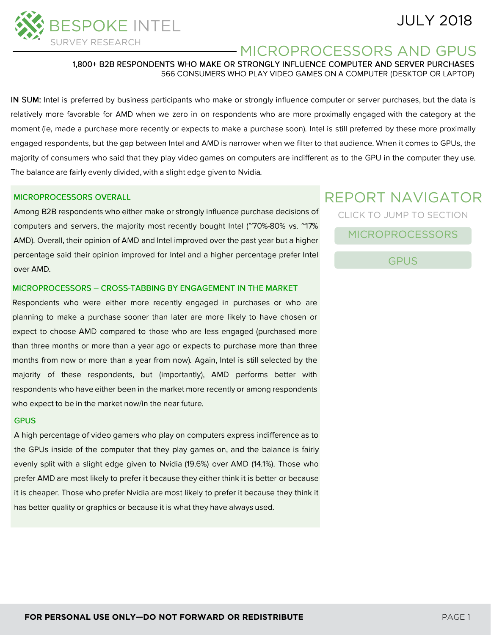# JULY 2018



# MICROPROCESSORS AND GPUS

1,800+ B2B RESPONDENTS WHO MAKE OR STRONGLY INFLUENCE COMPUTER AND SERVER PURCHASES 566 CONSUMERS WHO PLAY VIDEO GAMES ON A COMPUTER (DESKTOP OR LAPTOP)

IN SUM: Intel is preferred by business participants who make or strongly influence computer or server purchases, but the data is relatively more favorable for AMD when we zero in on respondents who are more proximally engaged with the category at the moment (ie, made a purchase more recently or expects to make a purchase soon). Intel is still preferred by these more proximally engaged respondents, but the gap between Intel and AMD is narrower when we filter to that audience. When it comes to GPUs, the majority of consumers who said that they play video games on computers are indifferent as to the GPU in the computer they use. The balance are fairly evenly divided, with a slight edge given to Nvidia.

#### **MICROPROCESSORS OVERALL**

Among B2B respondents who either make or strongly influence purchase decisions of computers and servers, the majority most recently bought Intel ("70%-80% vs. "17% AMD). Overall, their opinion of AMD and Intel improved over the past year but a higher percentage said their opinion improved for Intel and a higher percentage prefer Intel over AMD.

#### MICROPROCESSORS - CROSS-TABBING BY ENGAGEMENT IN THE MARKET

Respondents who were either more recently engaged in purchases or who are planning to make a purchase sooner than later are more likely to have chosen or expect to choose AMD compared to those who are less engaged (purchased more than three months or more than a year ago or expects to purchase more than three months from now or more than a year from now). Again, Intel is still selected by the majority of these respondents, but (importantly), AMD performs better with respondents who have either been in the market more recently or among respondents who expect to be in the market now/in the near future.

#### **GPUS**

A high percentage of video gamers who play on computers express indifference as to the GPUs inside of the computer that they play games on, and the balance is fairly evenly split with a slight edge given to Nvidia (19.6%) over AMD (14.1%). Those who prefer AMD are most likely to prefer it because they either think it is better or because it is cheaper. Those who prefer Nvidia are most likely to prefer it because they think it has better quality or graphics or because it is what they have always used.

# REPORT NAVIGATOR CLICK TO JUMP TO SECTION

[MICROPROCESSORS](#page-1-0)

[GPUS](#page-12-0)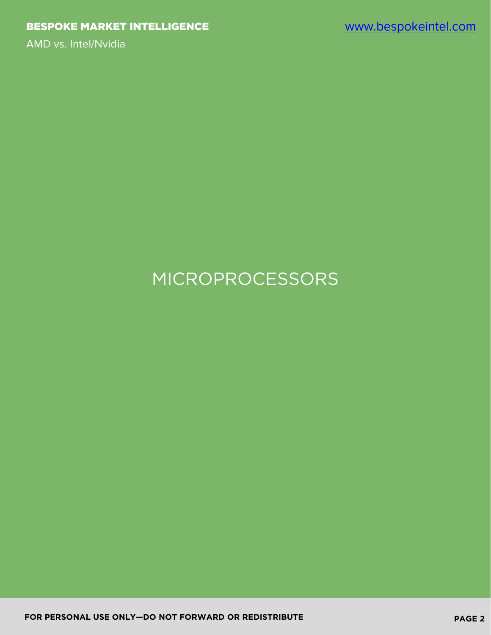# <span id="page-1-0"></span>MICROPROCESSORS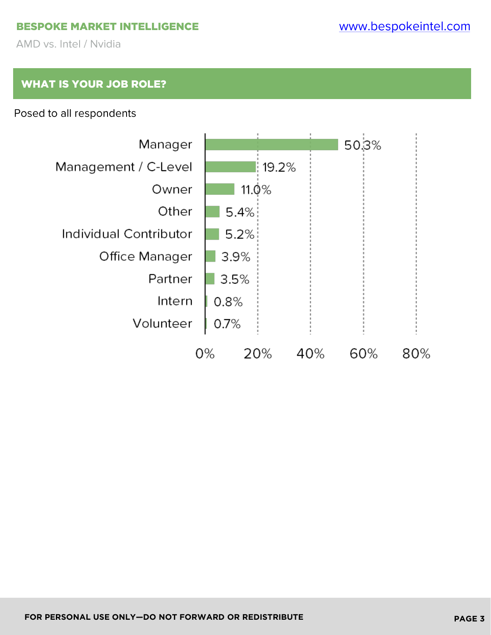#### BESPOKE MARKET INTELLIGENCE

AMD vs. Intel / Nvidia

## WHAT IS YOUR JOB ROLE?

#### Posed to all respondents

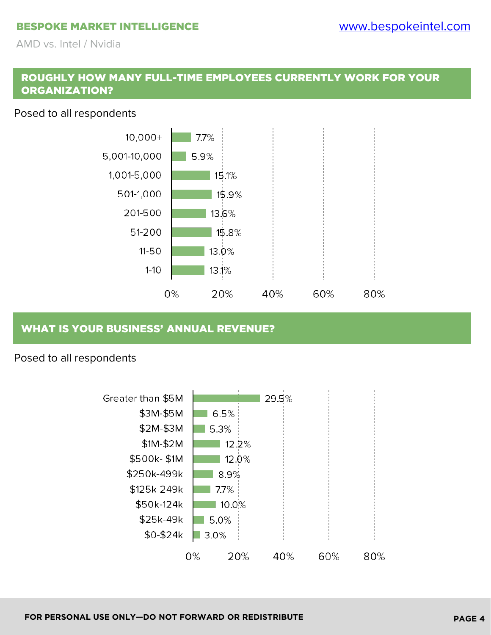#### BESPOKE MARKET INTELLIGENCE

AMD vs. Intel / Nvidia

#### ROUGHLY HOW MANY FULL-TIME EMPLOYEES CURRENTLY WORK FOR YOUR ORGANIZATION?

#### Posed to all respondents



#### WHAT IS YOUR BUSINESS' ANNUAL REVENUE?

#### Posed to all respondents

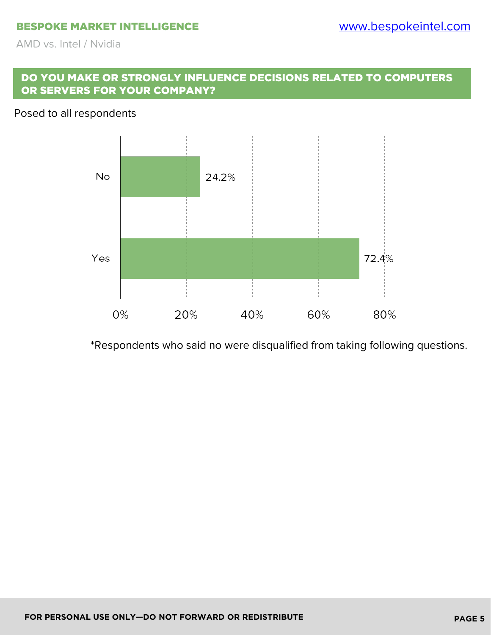#### DO YOU MAKE OR STRONGLY INFLUENCE DECISIONS RELATED TO COMPUTERS OR SERVERS FOR YOUR COMPANY?

#### Posed to all respondents



\*Respondents who said no were disqualified from taking following questions.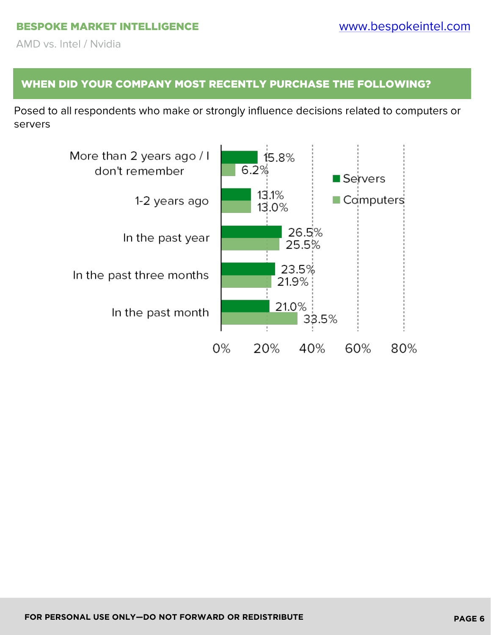# WHEN DID YOUR COMPANY MOST RECENTLY PURCHASE THE FOLLOWING?

Posed to all respondents who make or strongly influence decisions related to computers or servers

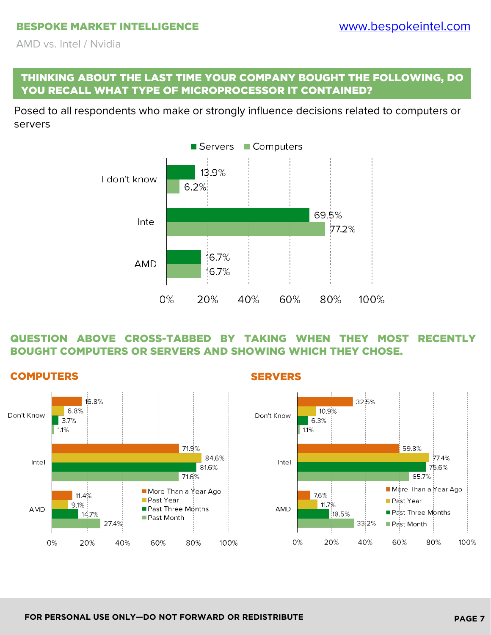#### THINKING ABOUT THE LAST TIME YOUR COMPANY BOUGHT THE FOLLOWING, DO YOU RECALL WHAT TYPE OF MICROPROCESSOR IT CONTAINED?

Posed to all respondents who make or strongly influence decisions related to computers or servers



#### QUESTION ABOVE CROSS-TABBED BY TAKING WHEN THEY MOST RECENTLY BOUGHT COMPUTERS OR SERVERS AND SHOWING WHICH THEY CHOSE.

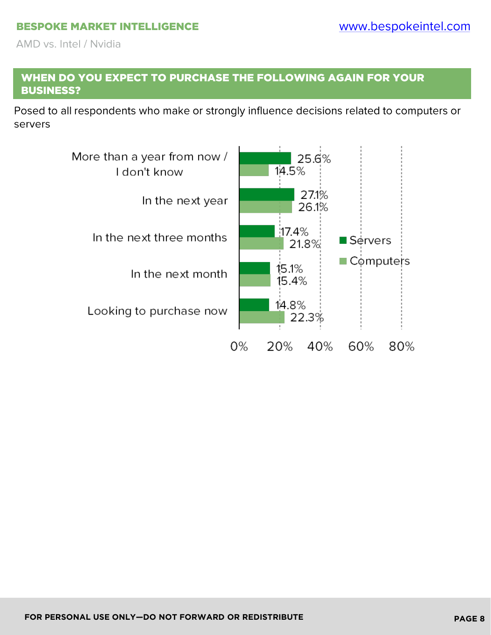#### WHEN DO YOU EXPECT TO PURCHASE THE FOLLOWING AGAIN FOR YOUR BUSINESS?

Posed to all respondents who make or strongly influence decisions related to computers or servers

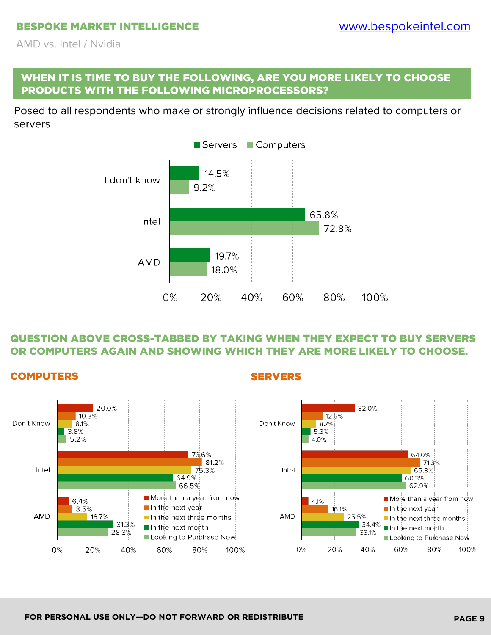#### WHEN IT IS TIME TO BUY THE FOLLOWING, ARE YOU MORE LIKELY TO CHOOSE PRODUCTS WITH THE FOLLOWING MICROPROCESSORS?

Posed to all respondents who make or strongly influence decisions related to computers or servers



#### QUESTION ABOVE CROSS-TABBED BY TAKING WHEN THEY EXPECT TO BUY SERVERS OR COMPUTERS AGAIN AND SHOWING WHICH THEY ARE MORE LIKELY TO CHOOSE.



#### **COMPUTERS** SERVERS

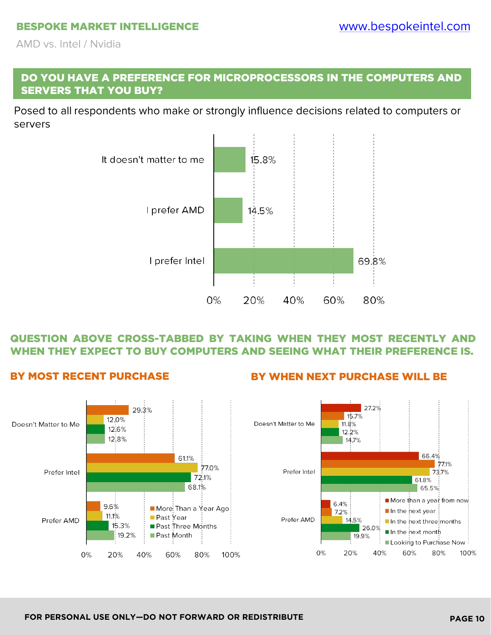#### DO YOU HAVE A PREFERENCE FOR MICROPROCESSORS IN THE COMPUTERS AND SERVERS THAT YOU BUY?

Posed to all respondents who make or strongly influence decisions related to computers or servers



#### QUESTION ABOVE CROSS-TABBED BY TAKING WHEN THEY MOST RECENTLY AND WHEN THEY EXPECT TO BUY COMPUTERS AND SEEING WHAT THEIR PREFERENCE IS.



#### BY MOST RECENT PURCHASE BY WHEN NEXT PURCHASE WILL BE

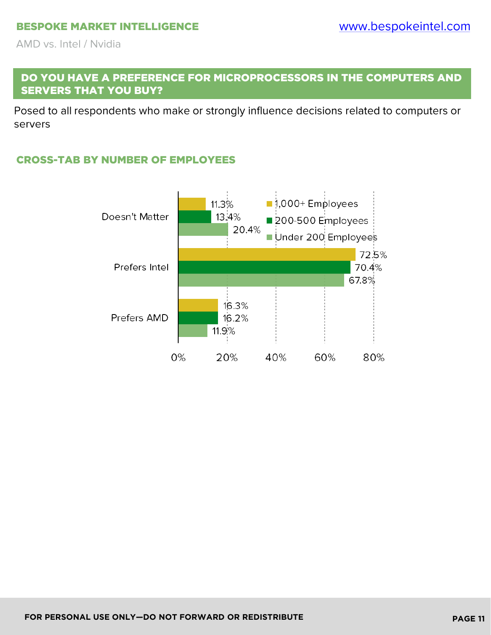#### DO YOU HAVE A PREFERENCE FOR MICROPROCESSORS IN THE COMPUTERS AND SERVERS THAT YOU BUY?

Posed to all respondents who make or strongly influence decisions related to computers or servers

#### CROSS-TAB BY NUMBER OF EMPLOYEES

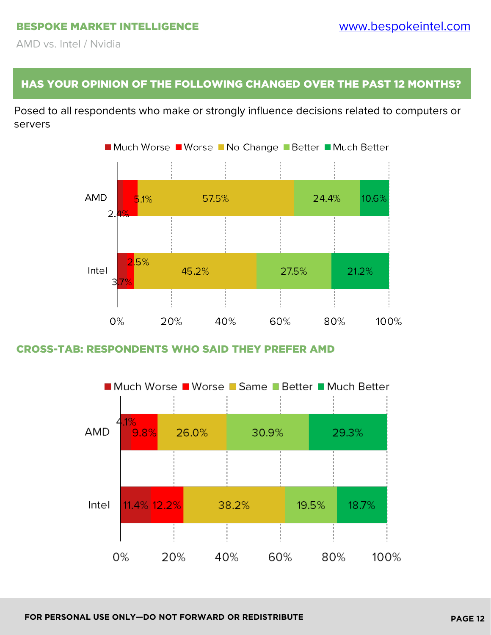#### HAS YOUR OPINION OF THE FOLLOWING CHANGED OVER THE PAST 12 MONTHS?

Posed to all respondents who make or strongly influence decisions related to computers or servers



#### CROSS-TAB: RESPONDENTS WHO SAID THEY PREFER AMD

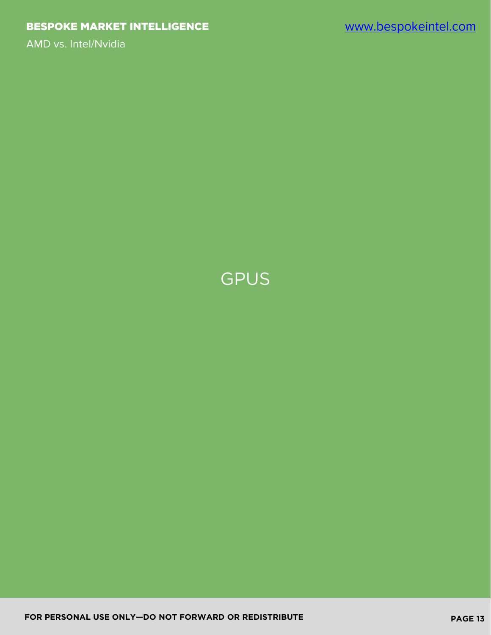<span id="page-12-0"></span>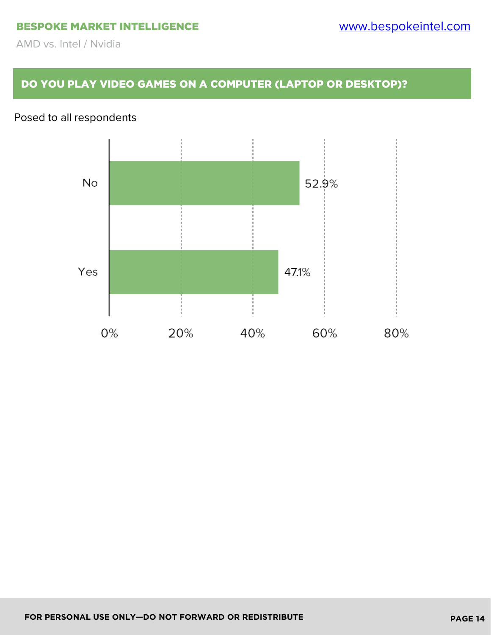### DO YOU PLAY VIDEO GAMES ON A COMPUTER (LAPTOP OR DESKTOP)?

# Posed to all respondents

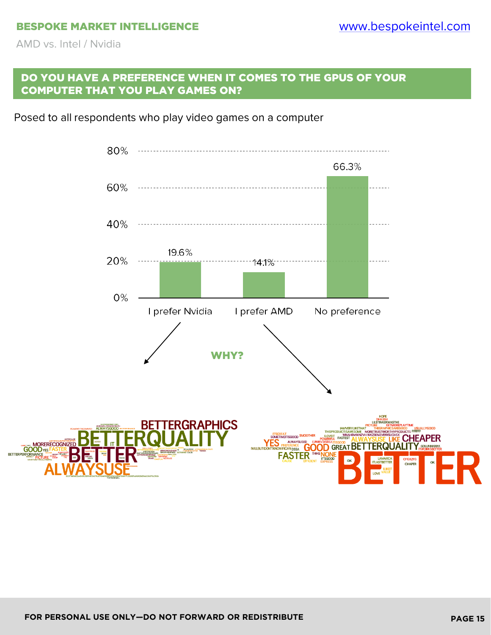#### DO YOU HAVE A PREFERENCE WHEN IT COMES TO THE GPUS OF YOUR COMPUTER THAT YOU PLAY GAMES ON?

Posed to all respondents who play video games on a computer